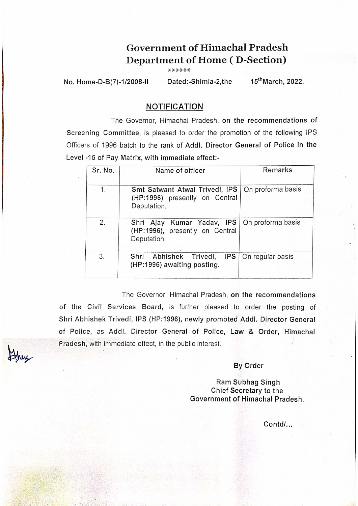## Government of Himachal Pradesh Department of Home (D-Section)

\*\*\*\*\*\*

No. Home-D-B(7)-1/2008-II Dated:-Shimla-2,the 15<sup>th</sup>March, 2022.

## NOTIFICATION

The Governor, Himachal Pradesh, on the recommendations of Screening Committee, is pleased to order the promotion of the following IPS Officers of 1996 batch to the rank of Add!. Director General of Police in the Level -15 of Pay Matrix, with immediate effect:-

| Sr. No. | Name of officer                                                                 | <b>Remarks</b>    |
|---------|---------------------------------------------------------------------------------|-------------------|
| 1.      | Smt Satwant Atwal Trivedi, IPS<br>(HP:1996) presently on Central<br>Deputation. | On proforma basis |
| 2.      | Shri Ajay Kumar Yadav, IPS<br>(HP:1996), presently on Central<br>Deputation.    | On proforma basis |
| 3.      | Shri Abhishek Trivedi,<br><b>IPS</b><br>(HP:1996) awaiting posting.             | On regular basis  |

The Governor, Himachal Pradesh, on the recommendations of the Civil Services Board, is further pleased to order the posting of Shri Abhishek Trivedi, IPS (HP:1996), newly promoted Add/. Director General of Police, as Add!. Director General of Police, Law & Order, Himachal i Pradesh, with immediate effect, in the public interest.

By Order

Ram Subhag Singh Chief Secretary to the Government of Himachal Pradesh.

Contd/...

 $\mathcal{L}^{\text{max}}_{\text{max}}$ 

. . . . . . . . ,  $\sim$